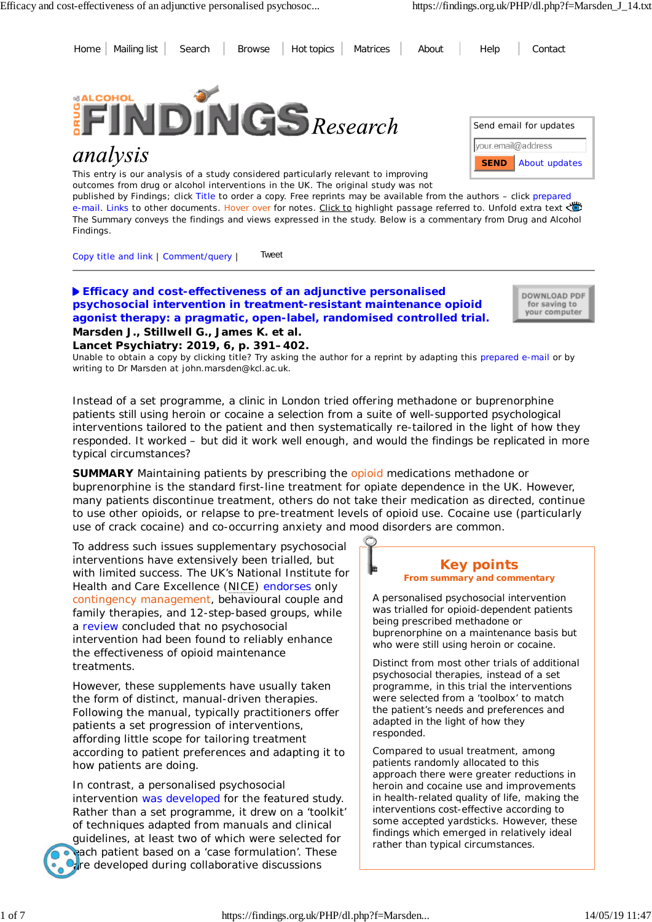



# analysis

This entry is our analysis of a study considered particularly relevant to improving outcomes from drug or alcohol interventions in the UK. The original study was not published by Findings; click Title to order a copy. Free reprints may be available from the authors – click prepared e-mail. Links to other documents. Hover over for notes. Click to highlight passage referred to. Unfold extra text The Summary conveys the findings and views expressed in the study. Below is a commentary from Drug and Alcohol Findings.

Copy title and link | Comment/query | Tweet

#### **Efficacy and cost-effectiveness of an adjunctive personalised psychosocial intervention in treatment-resistant maintenance opioid agonist therapy: a pragmatic, open-label, randomised controlled trial. Marsden J., Stillwell G., James K. et al.**



DOWNLOAD PDF for saving to your computer

**Lancet Psychiatry: 2019, 6, p. 391–402.** Unable to obtain a copy by clicking title? Try asking the author for a reprint by adapting this prepared e-mail or by writing to Dr Marsden at john.marsden@kcl.ac.uk.

*Instead of a set programme, a clinic in London tried offering methadone or buprenorphine patients still using heroin or cocaine a selection from a suite of well-supported psychological interventions tailored to the patient and then systematically re-tailored in the light of how they responded. It worked – but did it work well enough, and would the findings be replicated in more typical circumstances?*

**SUMMARY** Maintaining patients by prescribing the opioid medications methadone or buprenorphine is the standard first-line treatment for opiate dependence in the UK. However, many patients discontinue treatment, others do not take their medication as directed, continue to use other opioids, or relapse to pre-treatment levels of opioid use. Cocaine use (particularly use of crack cocaine) and co-occurring anxiety and mood disorders are common.

To address such issues supplementary psychosocial interventions have extensively been trialled, but with limited success. The UK's National Institute for Health and Care Excellence (NICE) endorses only contingency management, behavioural couple and family therapies, and 12-step-based groups, while a review concluded that no psychosocial intervention had been found to reliably enhance the effectiveness of opioid maintenance treatments.

However, these supplements have usually taken the form of distinct, manual-driven therapies. Following the manual, typically practitioners offer patients a set progression of interventions, affording little scope for tailoring treatment according to patient preferences and adapting it to how patients are doing.

In contrast, a personalised psychosocial intervention was developed for the featured study. Rather than a set programme, it drew on a 'toolkit' of techniques adapted from manuals and clinical guidelines, at least two of which were selected for each patient based on a 'case formulation'. These are developed during collaborative discussions



A personalised psychosocial intervention was trialled for opioid-dependent patients being prescribed methadone or buprenorphine on a maintenance basis but who were still using heroin or cocaine.

Distinct from most other trials of additional psychosocial therapies, instead of a set programme, in this trial the interventions were selected from a 'toolbox' to match the patient's needs and preferences and adapted in the light of how they responded.

Compared to usual treatment, among patients randomly allocated to this approach there were greater reductions in heroin and cocaine use and improvements in health-related quality of life, making the interventions cost-effective according to some accepted yardsticks. However, these findings which emerged in relatively ideal rather than typical circumstances.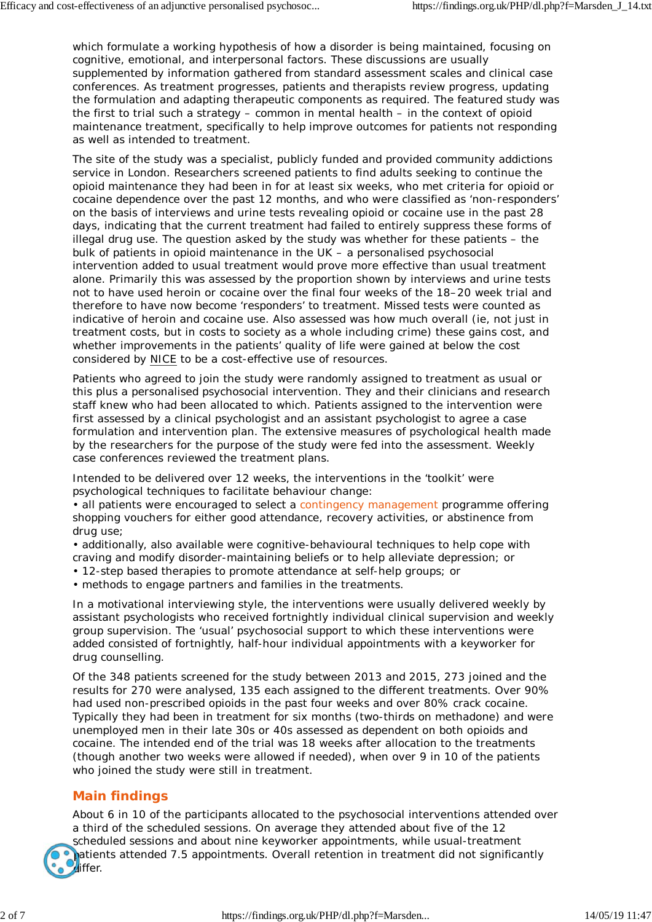which formulate a working hypothesis of how a disorder is being maintained, focusing on cognitive, emotional, and interpersonal factors. These discussions are usually supplemented by information gathered from standard assessment scales and clinical case conferences. As treatment progresses, patients and therapists review progress, updating the formulation and adapting therapeutic components as required. The featured study was the first to trial such a strategy – common in mental health – in the context of opioid maintenance treatment, specifically to help improve outcomes for patients not responding as well as intended to treatment.

The site of the study was a specialist, publicly funded and provided community addictions service in London. Researchers screened patients to find adults seeking to continue the opioid maintenance they had been in for at least six weeks, who met criteria for opioid or cocaine dependence over the past 12 months, and who were classified as 'non-responders' on the basis of interviews and urine tests revealing opioid or cocaine use in the past 28 days, indicating that the current treatment had failed to entirely suppress these forms of illegal drug use. The question asked by the study was whether for these patients – the bulk of patients in opioid maintenance in the UK – a personalised psychosocial intervention added to usual treatment would prove more effective than usual treatment alone. Primarily this was assessed by the proportion shown by interviews and urine tests not to have used heroin or cocaine over the final four weeks of the 18–20 week trial and therefore to have now become 'responders' to treatment. Missed tests were counted as indicative of heroin and cocaine use. Also assessed was how much overall (ie, not just in treatment costs, but in costs to society as a whole including crime) these gains cost, and whether improvements in the patients' quality of life were gained at below the cost considered by NICE to be a cost-effective use of resources.

Patients who agreed to join the study were randomly assigned to treatment as usual or this plus a personalised psychosocial intervention. They and their clinicians and research staff knew who had been allocated to which. Patients assigned to the intervention were first assessed by a clinical psychologist and an assistant psychologist to agree a case formulation and intervention plan. The extensive measures of psychological health made by the researchers for the purpose of the study were fed into the assessment. Weekly case conferences reviewed the treatment plans.

Intended to be delivered over 12 weeks, the interventions in the 'toolkit' were psychological techniques to facilitate behaviour change:

• all patients were encouraged to select a contingency management programme offering shopping vouchers for either good attendance, recovery activities, or abstinence from drug use;

• additionally, also available were cognitive-behavioural techniques to help cope with craving and modify disorder-maintaining beliefs or to help alleviate depression; or

- 12-step based therapies to promote attendance at self-help groups; or
- methods to engage partners and families in the treatments.

In a motivational interviewing style, the interventions were usually delivered weekly by assistant psychologists who received fortnightly individual clinical supervision and weekly group supervision. The 'usual' psychosocial support to which these interventions were added consisted of fortnightly, half-hour individual appointments with a keyworker for drug counselling.

Of the 348 patients screened for the study between 2013 and 2015, 273 joined and the results for 270 were analysed, 135 each assigned to the different treatments. Over 90% had used non-prescribed opioids in the past four weeks and over 80% crack cocaine. Typically they had been in treatment for six months (two-thirds on methadone) and were unemployed men in their late 30s or 40s assessed as dependent on both opioids and cocaine. The intended end of the trial was 18 weeks after allocation to the treatments (though another two weeks were allowed if needed), when over 9 in 10 of the patients who joined the study were still in treatment.

## **Main findings**

About 6 in 10 of the participants allocated to the psychosocial interventions attended over a third of the scheduled sessions. On average they attended about five of the 12 scheduled sessions and about nine keyworker appointments, while usual-treatment patients attended 7.5 appointments. Overall retention in treatment did not significantly differ.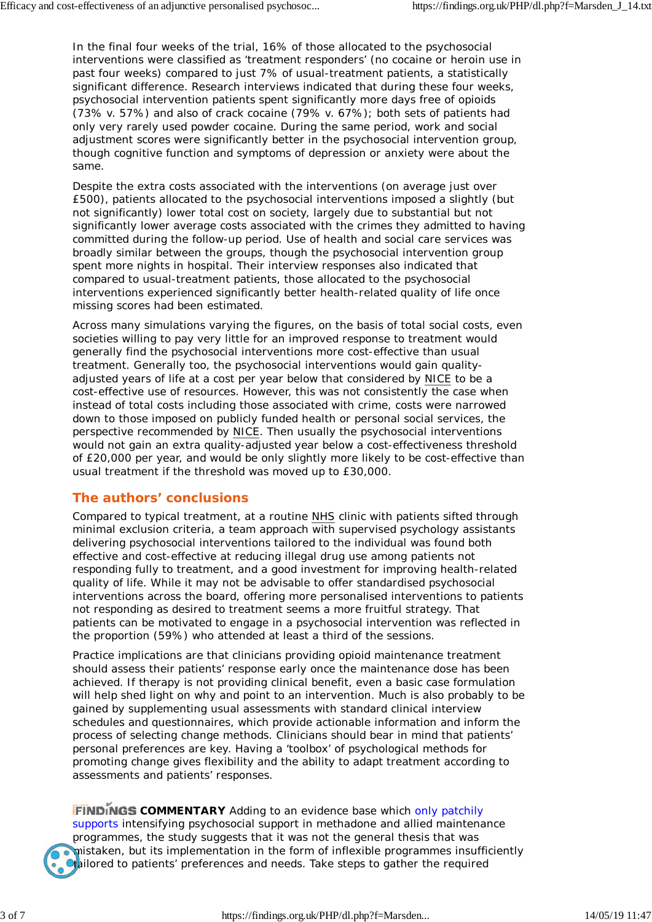In the final four weeks of the trial, 16% of those allocated to the psychosocial interventions were classified as 'treatment responders' (no cocaine or heroin use in past four weeks) compared to just 7% of usual-treatment patients, a statistically significant difference. Research interviews indicated that during these four weeks, psychosocial intervention patients spent significantly more days free of opioids (73% v. 57%) and also of crack cocaine (79% v. 67%); both sets of patients had only very rarely used powder cocaine. During the same period, work and social adjustment scores were significantly better in the psychosocial intervention group, though cognitive function and symptoms of depression or anxiety were about the same.

Despite the extra costs associated with the interventions (on average just over £500), patients allocated to the psychosocial interventions imposed a slightly (but not significantly) lower total cost on society, largely due to substantial but not significantly lower average costs associated with the crimes they admitted to having committed during the follow-up period. Use of health and social care services was broadly similar between the groups, though the psychosocial intervention group spent more nights in hospital. Their interview responses also indicated that compared to usual-treatment patients, those allocated to the psychosocial interventions experienced significantly better health-related quality of life once missing scores had been estimated.

Across many simulations varying the figures, on the basis of total social costs, even societies willing to pay very little for an improved response to treatment would generally find the psychosocial interventions more cost-effective than usual treatment. Generally too, the psychosocial interventions would gain qualityadjusted years of life at a cost per year below that considered by NICE to be a cost-effective use of resources. However, this was not consistently the case when instead of total costs including those associated with crime, costs were narrowed down to those imposed on publicly funded health or personal social services, the perspective recommended by NICE. Then usually the psychosocial interventions would not gain an extra quality-adjusted year below a cost-effectiveness threshold of £20,000 per year, and would be only slightly more likely to be cost-effective than usual treatment if the threshold was moved up to £30,000.

## **The authors' conclusions**

Compared to typical treatment, at a routine NHS clinic with patients sifted through minimal exclusion criteria, a team approach with supervised psychology assistants delivering psychosocial interventions tailored to the individual was found both effective and cost-effective at reducing illegal drug use among patients not responding fully to treatment, and a good investment for improving health-related quality of life. While it may not be advisable to offer standardised psychosocial interventions across the board, offering more personalised interventions to patients not responding as desired to treatment seems a more fruitful strategy. That patients can be motivated to engage in a psychosocial intervention was reflected in the proportion (59%) who attended at least a third of the sessions.

Practice implications are that clinicians providing opioid maintenance treatment should assess their patients' response early once the maintenance dose has been achieved. If therapy is not providing clinical benefit, even a basic case formulation will help shed light on why and point to an intervention. Much is also probably to be gained by supplementing usual assessments with standard clinical interview schedules and questionnaires, which provide actionable information and inform the process of selecting change methods. Clinicians should bear in mind that patients' personal preferences are key. Having a 'toolbox' of psychological methods for promoting change gives flexibility and the ability to adapt treatment according to assessments and patients' responses.

**FINDINGS COMMENTARY** Adding to an evidence base which only patchily supports intensifying psychosocial support in methadone and allied maintenance programmes, the study suggests that it was not the general thesis that was mistaken, but its implementation in the form of inflexible programmes insufficiently  $\bullet$ tailored to patients' preferences and needs. Take steps to gather the required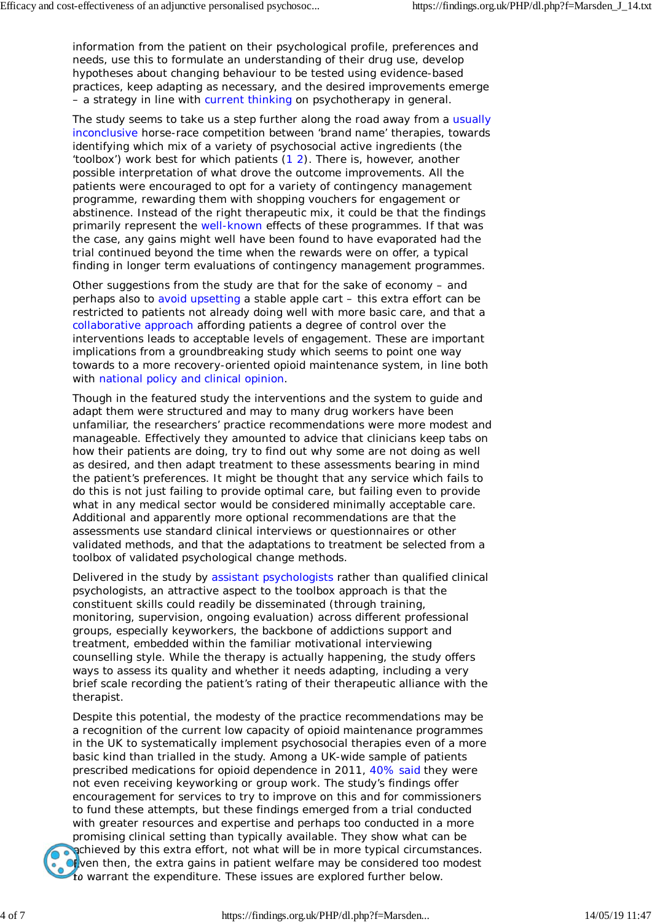information from the patient on their psychological profile, preferences and needs, use this to formulate an understanding of their drug use, develop hypotheses about changing behaviour to be tested using evidence-based practices, keep adapting as necessary, and the desired improvements emerge – a strategy in line with current thinking on psychotherapy in general.

The study seems to take us a step further along the road away from a usually inconclusive horse-race competition between 'brand name' therapies, towards identifying which mix of a variety of psychosocial active ingredients (the 'toolbox') work best for which patients (1 2). There is, however, another possible interpretation of what drove the outcome improvements. All the patients were encouraged to opt for a variety of contingency management programme, rewarding them with shopping vouchers for engagement or abstinence. Instead of the right therapeutic mix, it could be that the findings primarily represent the well-known effects of these programmes. If that was the case, any gains might well have been found to have evaporated had the trial continued beyond the time when the rewards were on offer, a typical finding in longer term evaluations of contingency management programmes.

Other suggestions from the study are that for the sake of economy – and perhaps also to avoid upsetting a stable apple cart – this extra effort can be restricted to patients not already doing well with more basic care, and that a collaborative approach affording patients a degree of control over the interventions leads to acceptable levels of engagement. These are important implications from a groundbreaking study which seems to point one way towards to a more recovery-oriented opioid maintenance system, in line both with national policy and clinical opinion.

Though in the featured study the interventions and the system to guide and adapt them were structured and may to many drug workers have been unfamiliar, the researchers' practice recommendations were more modest and manageable. Effectively they amounted to advice that clinicians keep tabs on how their patients are doing, try to find out why some are not doing as well as desired, and then adapt treatment to these assessments bearing in mind the patient's preferences. It might be thought that any service which fails to do this is not just failing to provide optimal care, but failing even to provide what in any medical sector would be considered minimally acceptable care. Additional and apparently more optional recommendations are that the assessments use standard clinical interviews or questionnaires or other validated methods, and that the adaptations to treatment be selected from a toolbox of validated psychological change methods.

Delivered in the study by assistant psychologists rather than qualified clinical psychologists, an attractive aspect to the toolbox approach is that the constituent skills could readily be disseminated (through training, monitoring, supervision, ongoing evaluation) across different professional groups, especially keyworkers, the backbone of addictions support and treatment, embedded within the familiar motivational interviewing counselling style. While the therapy is actually happening, the study offers ways to assess its quality and whether it needs adapting, including a very brief scale recording the patient's rating of their therapeutic alliance with the therapist.

Despite this potential, the modesty of the practice recommendations may be a recognition of the current low capacity of opioid maintenance programmes in the UK to systematically implement psychosocial therapies even of a more basic kind than trialled in the study. Among a UK-wide sample of patients prescribed medications for opioid dependence in 2011, 40% said they were not even receiving keyworking or group work. The study's findings offer encouragement for services to try to improve on this and for commissioners to fund these attempts, but these findings emerged from a trial conducted with greater resources and expertise and perhaps too conducted in a more promising clinical setting than typically available. They show what *can* be **achieved by this extra effort, not what** *will* **be in more typical circumstances. E**ven then, the extra gains in patient welfare may be considered too modest to warrant the expenditure. These issues are explored further below.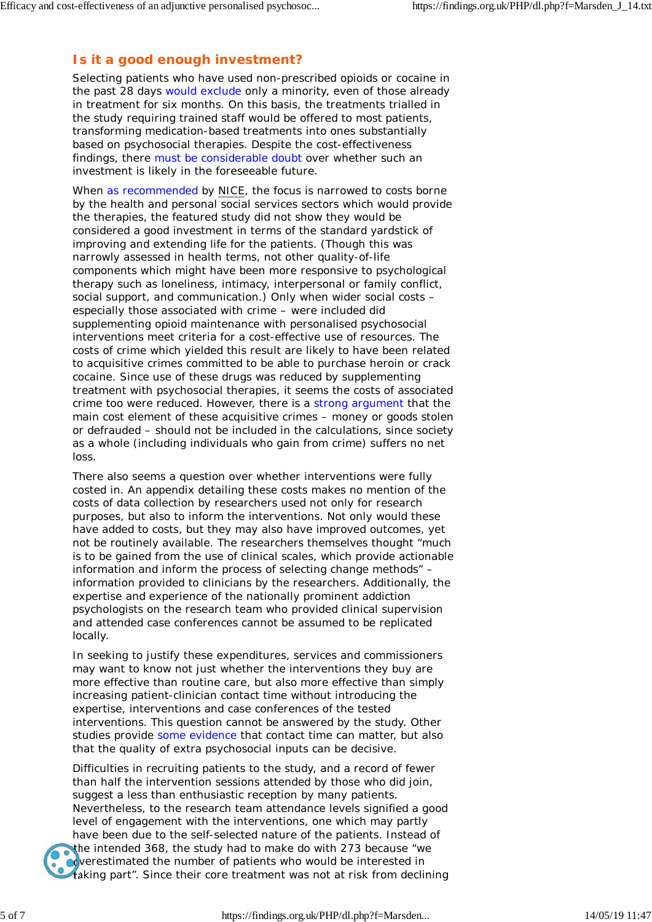## **Is it a** *good enough* **investment?**

Selecting patients who have used non-prescribed opioids or cocaine in the past 28 days would exclude only a minority, even of those already in treatment for six months. On this basis, the treatments trialled in the study requiring trained staff would be offered to most patients, transforming medication-based treatments into ones substantially based on psychosocial therapies. Despite the cost-effectiveness findings, there must be considerable doubt over whether such an investment is likely in the foreseeable future.

When as recommended by NICE, the focus is narrowed to costs borne by the health and personal social services sectors which would provide the therapies, the featured study did not show they would be considered a good investment in terms of the standard yardstick of improving and extending life for the patients. (Though this was narrowly assessed in health terms, not other quality-of-life components which might have been more responsive to psychological therapy such as loneliness, intimacy, interpersonal or family conflict, social support, and communication.) Only when wider social costs – especially those associated with crime – were included did supplementing opioid maintenance with personalised psychosocial interventions meet criteria for a cost-effective use of resources. The costs of crime which yielded this result are likely to have been related to acquisitive crimes committed to be able to purchase heroin or crack cocaine. Since use of these drugs was reduced by supplementing treatment with psychosocial therapies, it seems the costs of associated crime too were reduced. However, there is a strong argument that the main cost element of these acquisitive crimes – money or goods stolen or defrauded – should not be included in the calculations, since society as a whole (including individuals who gain from crime) suffers no net loss.

There also seems a question over whether interventions were fully costed in. An appendix detailing these costs makes no mention of the costs of data collection by researchers used not only for research purposes, but also to inform the interventions. Not only would these have added to costs, but they may also have improved outcomes, yet not be routinely available. The researchers themselves thought "much is to be gained from the use of clinical scales, which provide actionable information and inform the process of selecting change methods" – information provided to clinicians by the researchers. Additionally, the expertise and experience of the nationally prominent addiction psychologists on the research team who provided clinical supervision and attended case conferences cannot be assumed to be replicated locally.

In seeking to justify these expenditures, services and commissioners may want to know not just whether the interventions they buy are more effective than routine care, but also more effective than simply increasing patient-clinician contact time without introducing the expertise, interventions and case conferences of the tested interventions. This question cannot be answered by the study. Other studies provide some evidence that contact time can matter, but also that the quality of extra psychosocial inputs can be decisive.

Difficulties in recruiting patients to the study, and a record of fewer than half the intervention sessions attended by those who did join, suggest a less than enthusiastic reception by many patients. Nevertheless, to the research team attendance levels signified a good level of engagement with the interventions, one which may partly have been due to the self-selected nature of the patients. Instead of the intended 368, the study had to make do with 273 because "we odverestimated the number of patients who would be interested in taking part". Since their core treatment was not at risk from declining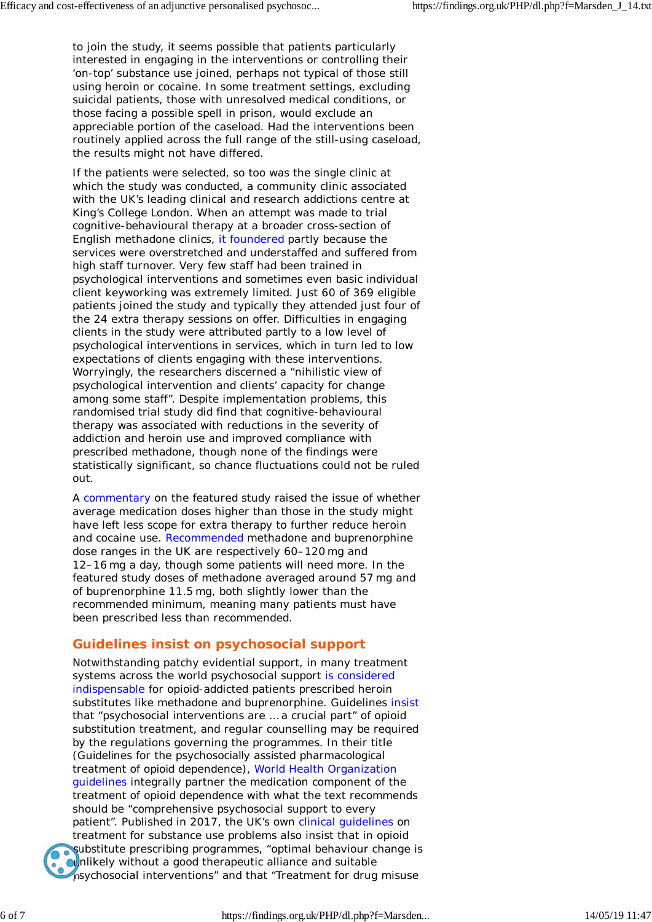to join the study, it seems possible that patients particularly interested in engaging in the interventions or controlling their 'on-top' substance use joined, perhaps not typical of those still using heroin or cocaine. In some treatment settings, excluding suicidal patients, those with unresolved medical conditions, or those facing a possible spell in prison, would exclude an appreciable portion of the caseload. Had the interventions been routinely applied across the full range of the still-using caseload, the results might not have differed.

If the patients were selected, so too was the single clinic at which the study was conducted, a community clinic associated with the UK's leading clinical and research addictions centre at King's College London. When an attempt was made to trial cognitive-behavioural therapy at a broader cross-section of English methadone clinics, it foundered partly because the services were overstretched and understaffed and suffered from high staff turnover. Very few staff had been trained in psychological interventions and sometimes even basic individual client keyworking was extremely limited. Just 60 of 369 eligible patients joined the study and typically they attended just four of the 24 extra therapy sessions on offer. Difficulties in engaging clients in the study were attributed partly to a low level of psychological interventions in services, which in turn led to low expectations of clients engaging with these interventions. Worryingly, the researchers discerned a "nihilistic view of psychological intervention and clients' capacity for change among some staff". Despite implementation problems, this randomised trial study did find that cognitive-behavioural therapy was associated with reductions in the severity of addiction and heroin use and improved compliance with prescribed methadone, though none of the findings were statistically significant, so chance fluctuations could not be ruled out.

A commentary on the featured study raised the issue of whether average medication doses higher than those in the study might have left less scope for extra therapy to further reduce heroin and cocaine use. Recommended methadone and buprenorphine dose ranges in the UK are respectively 60–120 mg and 12–16 mg a day, though some patients will need more. In the featured study doses of methadone averaged around 57 mg and of buprenorphine 11.5 mg, both slightly lower than the recommended minimum, meaning many patients must have been prescribed less than recommended.

## **Guidelines insist on psychosocial support**

Notwithstanding patchy evidential support, in many treatment systems across the world psychosocial support is considered indispensable for opioid-addicted patients prescribed heroin substitutes like methadone and buprenorphine. Guidelines insist that "psychosocial interventions are … a crucial part" of opioid substitution treatment, and regular counselling may be required by the regulations governing the programmes. In their title (*Guidelines for the psychosocially assisted pharmacological treatment of opioid dependence*), World Health Organization guidelines integrally partner the medication component of the treatment of opioid dependence with what the text recommends should be "comprehensive psychosocial support to every patient". Published in 2017, the UK's own clinical quidelines on treatment for substance use problems also insist that in opioid substitute prescribing programmes, "optimal behaviour change is unlikely without a good therapeutic alliance and suitable psychosocial interventions" and that "Treatment for drug misuse